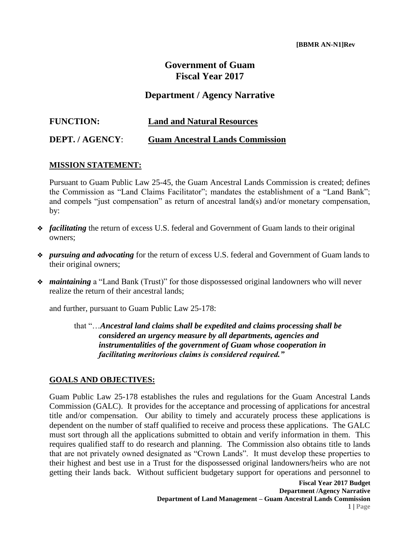## **Government of Guam Fiscal Year 2017**

## **Department / Agency Narrative**

| <b>FUNCTION:</b> | <b>Land and Natural Resources</b>      |
|------------------|----------------------------------------|
| DEPT. / AGENCY:  | <b>Guam Ancestral Lands Commission</b> |

## **MISSION STATEMENT:**

Pursuant to Guam Public Law 25-45, the Guam Ancestral Lands Commission is created; defines the Commission as "Land Claims Facilitator"; mandates the establishment of a "Land Bank"; and compels "just compensation" as return of ancestral land(s) and/or monetary compensation, by:

- ❖ *facilitating* the return of excess U.S. federal and Government of Guam lands to their original owners;
- ❖ *pursuing and advocating* for the return of excess U.S. federal and Government of Guam lands to their original owners;
- ❖ *maintaining* a "Land Bank (Trust)" for those dispossessed original landowners who will never realize the return of their ancestral lands;

and further, pursuant to Guam Public Law 25-178:

that "…*Ancestral land claims shall be expedited and claims processing shall be considered an urgency measure by all departments, agencies and instrumentalities of the government of Guam whose cooperation in facilitating meritorious claims is considered required."*

## **GOALS AND OBJECTIVES:**

Guam Public Law 25-178 establishes the rules and regulations for the Guam Ancestral Lands Commission (GALC). It provides for the acceptance and processing of applications for ancestral title and/or compensation. Our ability to timely and accurately process these applications is dependent on the number of staff qualified to receive and process these applications. The GALC must sort through all the applications submitted to obtain and verify information in them. This requires qualified staff to do research and planning. The Commission also obtains title to lands that are not privately owned designated as "Crown Lands". It must develop these properties to their highest and best use in a Trust for the dispossessed original landowners/heirs who are not getting their lands back. Without sufficient budgetary support for operations and personnel to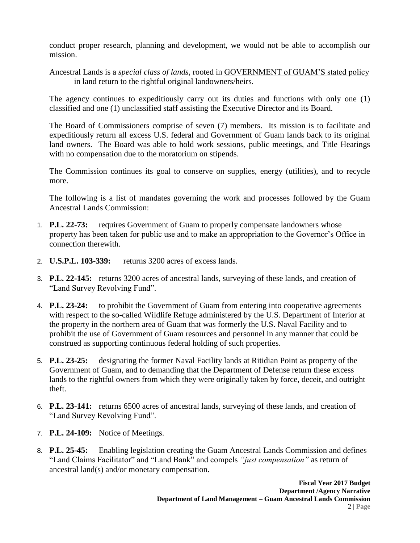conduct proper research, planning and development, we would not be able to accomplish our mission.

Ancestral Lands is a *special class of lands,* rooted in GOVERNMENT of GUAM'S stated policy in land return to the rightful original landowners/heirs.

The agency continues to expeditiously carry out its duties and functions with only one (1) classified and one (1) unclassified staff assisting the Executive Director and its Board.

The Board of Commissioners comprise of seven (7) members. Its mission is to facilitate and expeditiously return all excess U.S. federal and Government of Guam lands back to its original land owners. The Board was able to hold work sessions, public meetings, and Title Hearings with no compensation due to the moratorium on stipends.

The Commission continues its goal to conserve on supplies, energy (utilities), and to recycle more.

The following is a list of mandates governing the work and processes followed by the Guam Ancestral Lands Commission:

- 1. **P.L. 22-73:** requires Government of Guam to properly compensate landowners whose property has been taken for public use and to make an appropriation to the Governor's Office in connection therewith.
- 2. **U.S.P.L. 103-339:** returns 3200 acres of excess lands.
- 3. **P.L. 22-145:** returns 3200 acres of ancestral lands, surveying of these lands, and creation of "Land Survey Revolving Fund".
- 4. **P.L. 23-24:** to prohibit the Government of Guam from entering into cooperative agreements with respect to the so-called Wildlife Refuge administered by the U.S. Department of Interior at the property in the northern area of Guam that was formerly the U.S. Naval Facility and to prohibit the use of Government of Guam resources and personnel in any manner that could be construed as supporting continuous federal holding of such properties.
- 5. **P.L. 23-25:** designating the former Naval Facility lands at Ritidian Point as property of the Government of Guam, and to demanding that the Department of Defense return these excess lands to the rightful owners from which they were originally taken by force, deceit, and outright theft.
- 6. **P.L. 23-141:** returns 6500 acres of ancestral lands, surveying of these lands, and creation of "Land Survey Revolving Fund".
- 7. **P.L. 24-109:** Notice of Meetings.
- 8. **P.L. 25-45:** Enabling legislation creating the Guam Ancestral Lands Commission and defines "Land Claims Facilitator" and "Land Bank" and compels *"just compensation"* as return of ancestral land(s) and/or monetary compensation.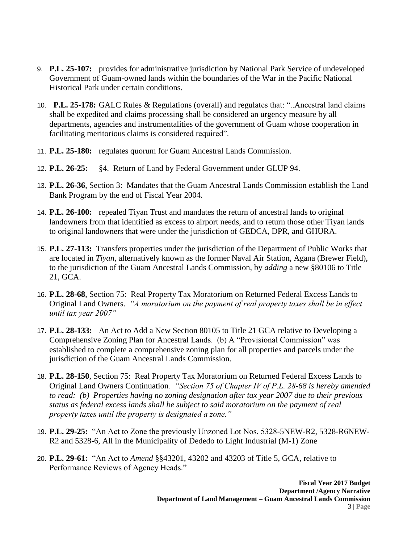- 9. **P.L. 25-107:** provides for administrative jurisdiction by National Park Service of undeveloped Government of Guam-owned lands within the boundaries of the War in the Pacific National Historical Park under certain conditions.
- 10. **P.L. 25-178:** GALC Rules & Regulations (overall) and regulates that: "..Ancestral land claims shall be expedited and claims processing shall be considered an urgency measure by all departments, agencies and instrumentalities of the government of Guam whose cooperation in facilitating meritorious claims is considered required".
- 11. **P.L. 25-180:** regulates quorum for Guam Ancestral Lands Commission.
- 12. **P.L. 26-25:** §4. Return of Land by Federal Government under GLUP 94.
- 13. **P.L. 26-36**, Section 3: Mandates that the Guam Ancestral Lands Commission establish the Land Bank Program by the end of Fiscal Year 2004.
- 14. **P.L. 26-100:** repealed Tiyan Trust and mandates the return of ancestral lands to original landowners from that identified as excess to airport needs, and to return those other Tiyan lands to original landowners that were under the jurisdiction of GEDCA, DPR, and GHURA.
- 15. **P.L. 27-113:** Transfers properties under the jurisdiction of the Department of Public Works that are located in *Tiyan*, alternatively known as the former Naval Air Station, Agana (Brewer Field), to the jurisdiction of the Guam Ancestral Lands Commission, by *adding* a new §80106 to Title 21, GCA.
- 16. **P.L. 28-68**, Section 75: Real Property Tax Moratorium on Returned Federal Excess Lands to Original Land Owners. *"A moratorium on the payment of real property taxes shall be in effect until tax year 2007"*
- 17. **P.L. 28-133:** An Act to Add a New Section 80105 to Title 21 GCA relative to Developing a Comprehensive Zoning Plan for Ancestral Lands. (b) A "Provisional Commission" was established to complete a comprehensive zoning plan for all properties and parcels under the jurisdiction of the Guam Ancestral Lands Commission.
- 18. **P.L. 28-150**, Section 75: Real Property Tax Moratorium on Returned Federal Excess Lands to Original Land Owners Continuation*. "Section 75 of Chapter IV of P.L. 28-68 is hereby amended to read: (b) Properties having no zoning designation after tax year 2007 due to their previous status as federal excess lands shall be subject to said moratorium on the payment of real property taxes until the property is designated a zone."*
- 19. **P.L. 29-25:** "An Act to Zone the previously Unzoned Lot Nos. 5328-5NEW-R2, 5328-R6NEW-R2 and 5328-6, All in the Municipality of Dededo to Light Industrial (M-1) Zone
- 20. **P.L. 29-61:** "An Act to *Amend* §§43201, 43202 and 43203 of Title 5, GCA, relative to Performance Reviews of Agency Heads."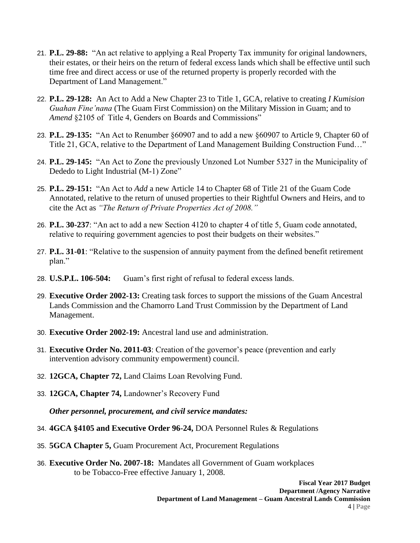- 21. **P.L. 29-88:** "An act relative to applying a Real Property Tax immunity for original landowners, their estates, or their heirs on the return of federal excess lands which shall be effective until such time free and direct access or use of the returned property is properly recorded with the Department of Land Management."
- 22. **P.L. 29-128:** An Act to Add a New Chapter 23 to Title 1, GCA, relative to creating *I Kumision Guahan Fine'nana* (The Guam First Commission) on the Military Mission in Guam; and to *Amend* §2105 of Title 4, Genders on Boards and Commissions"
- 23. **P.L. 29-135:** "An Act to Renumber §60907 and to add a new §60907 to Article 9, Chapter 60 of Title 21, GCA, relative to the Department of Land Management Building Construction Fund…"
- 24. **P.L. 29-145:** "An Act to Zone the previously Unzoned Lot Number 5327 in the Municipality of Dededo to Light Industrial (M-1) Zone"
- 25. **P.L. 29-151:** "An Act to *Add* a new Article 14 to Chapter 68 of Title 21 of the Guam Code Annotated, relative to the return of unused properties to their Rightful Owners and Heirs, and to cite the Act as *"The Return of Private Properties Act of 2008."*
- 26. **P.L. 30-237**: "An act to add a new Section 4120 to chapter 4 of title 5, Guam code annotated, relative to requiring government agencies to post their budgets on their websites."
- 27. **P.L. 31-01**: "Relative to the suspension of annuity payment from the defined benefit retirement plan."
- 28. **U.S.P.L. 106-504:** Guam's first right of refusal to federal excess lands.
- 29. **Executive Order 2002-13:** Creating task forces to support the missions of the Guam Ancestral Lands Commission and the Chamorro Land Trust Commission by the Department of Land Management.
- 30. **Executive Order 2002-19:** Ancestral land use and administration.
- 31. **Executive Order No. 2011-03**: Creation of the governor's peace (prevention and early intervention advisory community empowerment) council.
- 32. **12GCA, Chapter 72,** Land Claims Loan Revolving Fund.
- 33. **12GCA, Chapter 74,** Landowner's Recovery Fund

*Other personnel, procurement, and civil service mandates:*

- 34. **4GCA §4105 and Executive Order 96-24,** DOA Personnel Rules & Regulations
- 35. **5GCA Chapter 5,** Guam Procurement Act, Procurement Regulations
- 36. **Executive Order No. 2007-18:** Mandates all Government of Guam workplaces to be Tobacco-Free effective January 1, 2008.

**Fiscal Year 2017 Budget Department /Agency Narrative Department of Land Management – Guam Ancestral Lands Commission**  4 **| Page**